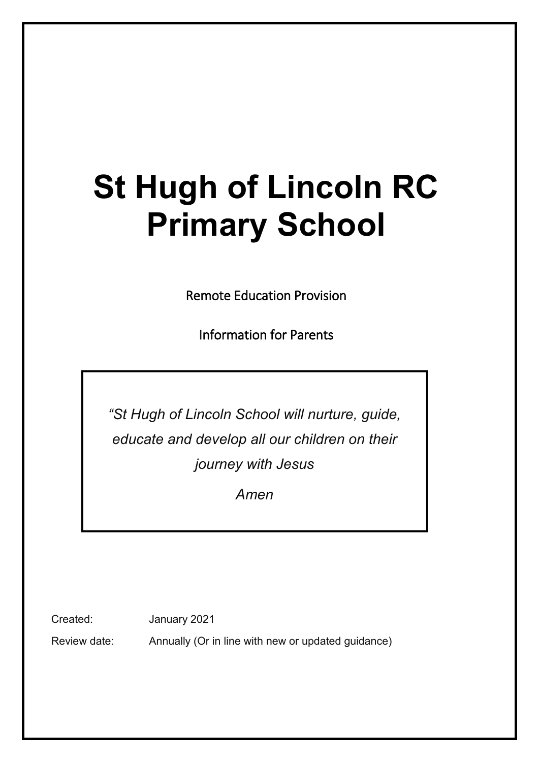# **St Hugh of Lincoln RC Primary School**

Remote Education Provision

Information for Parents

*"St Hugh of Lincoln School will nurture, guide, educate and develop all our children on their journey with Jesus*

*Amen*

Created: January 2021

Review date: Annually (Or in line with new or updated guidance)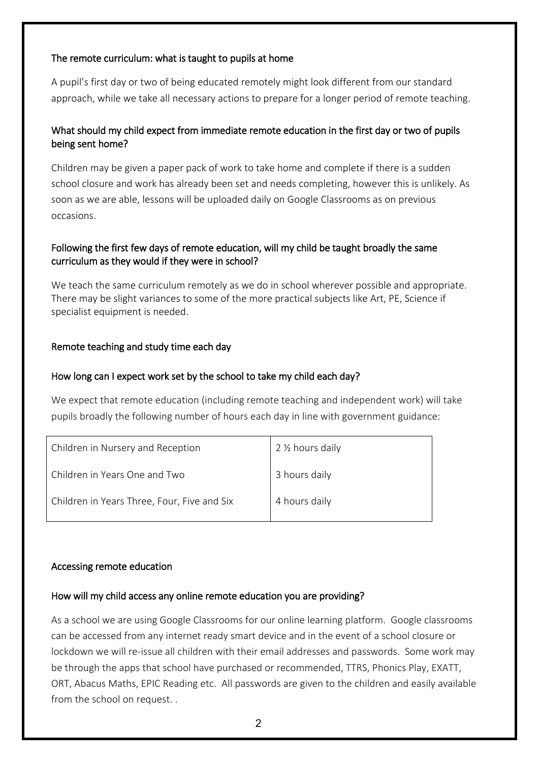#### The remote curriculum: what is taught to pupils at home

A pupil's first day or two of being educated remotely might look different from our standard approach, while we take all necessary actions to prepare for a longer period of remote teaching.

# What should my child expect from immediate remote education in the first day or two of pupils being sent home?

Children may be given a paper pack of work to take home and complete if there is a sudden school closure and work has already been set and needs completing, however this is unlikely. As soon as we are able, lessons will be uploaded daily on Google Classrooms as on previous occasions.

## Following the first few days of remote education, will my child be taught broadly the same curriculum as they would if they were in school?

We teach the same curriculum remotely as we do in school wherever possible and appropriate. There may be slight variances to some of the more practical subjects like Art, PE, Science if specialist equipment is needed.

#### Remote teaching and study time each day

#### How long can I expect work set by the school to take my child each day?

We expect that remote education (including remote teaching and independent work) will take pupils broadly the following number of hours each day in line with government guidance:

| Children in Nursery and Reception           | 2 1/2 hours daily |
|---------------------------------------------|-------------------|
| Children in Years One and Two               | 3 hours daily     |
| Children in Years Three, Four, Five and Six | 4 hours daily     |

#### Accessing remote education

#### How will my child access any online remote education you are providing?

As a school we are using Google Classrooms for our online learning platform. Google classrooms can be accessed from any internet ready smart device and in the event of a school closure or lockdown we will re-issue all children with their email addresses and passwords. Some work may be through the apps that school have purchased or recommended, TTRS, Phonics Play, EXATT, ORT, Abacus Maths, EPIC Reading etc. All passwords are given to the children and easily available from the school on request. .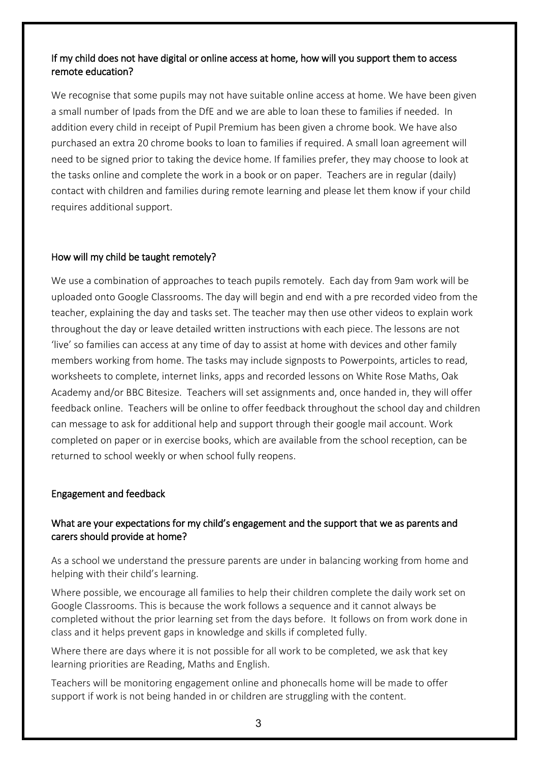## If my child does not have digital or online access at home, how will you support them to access remote education?

We recognise that some pupils may not have suitable online access at home. We have been given a small number of Ipads from the DfE and we are able to loan these to families if needed. In addition every child in receipt of Pupil Premium has been given a chrome book. We have also purchased an extra 20 chrome books to loan to families if required. A small loan agreement will need to be signed prior to taking the device home. If families prefer, they may choose to look at the tasks online and complete the work in a book or on paper. Teachers are in regular (daily) contact with children and families during remote learning and please let them know if your child requires additional support.

# How will my child be taught remotely?

We use a combination of approaches to teach pupils remotely. Each day from 9am work will be uploaded onto Google Classrooms. The day will begin and end with a pre recorded video from the teacher, explaining the day and tasks set. The teacher may then use other videos to explain work throughout the day or leave detailed written instructions with each piece. The lessons are not 'live' so families can access at any time of day to assist at home with devices and other family members working from home. The tasks may include signposts to Powerpoints, articles to read, worksheets to complete, internet links, apps and recorded lessons on White Rose Maths, Oak Academy and/or BBC Bitesize. Teachers will set assignments and, once handed in, they will offer feedback online. Teachers will be online to offer feedback throughout the school day and children can message to ask for additional help and support through their google mail account. Work completed on paper or in exercise books, which are available from the school reception, can be returned to school weekly or when school fully reopens.

# Engagement and feedback

# What are your expectations for my child's engagement and the support that we as parents and carers should provide at home?

As a school we understand the pressure parents are under in balancing working from home and helping with their child's learning.

Where possible, we encourage all families to help their children complete the daily work set on Google Classrooms. This is because the work follows a sequence and it cannot always be completed without the prior learning set from the days before. It follows on from work done in class and it helps prevent gaps in knowledge and skills if completed fully.

Where there are days where it is not possible for all work to be completed, we ask that key learning priorities are Reading, Maths and English.

Teachers will be monitoring engagement online and phonecalls home will be made to offer support if work is not being handed in or children are struggling with the content.